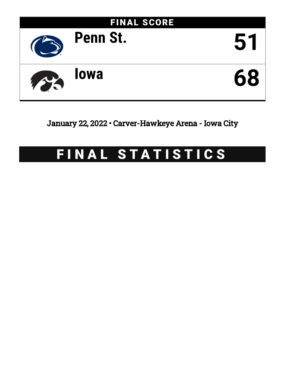

# January 22, 2022 • Carver-Hawkeye Arena - Iowa City

# FINAL STATISTICS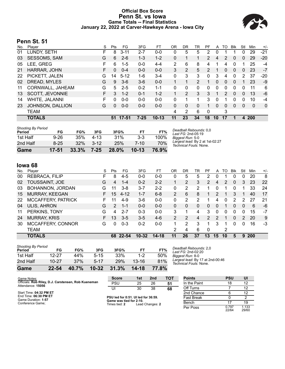## **Official Box Score Penn St. vs Iowa Game Totals -- Final Statistics January 22, 2022 at Carver-Hawkeye Arena - Iowa City**



# **Penn St. 51**

| No. | Plaver           | S | <b>Pts</b> | FG       | 3FG      | FТ        | 0R           | DR | TR             | PF             | A        | TO | <b>B</b> lk  | Stl      | Min        | $+/-$       |
|-----|------------------|---|------------|----------|----------|-----------|--------------|----|----------------|----------------|----------|----|--------------|----------|------------|-------------|
| 01  | LUNDY, SETH      | F | 8          | $3 - 11$ | $2 - 7$  | $0-0$     | 0            | 5  | 5              | 2              | 0        |    |              | 0        | 29         | $-21$       |
| 03  | SESSOMS, SAM     | G | 6          | $2 - 6$  | $1 - 3$  | $1 - 2$   | $\Omega$     |    |                | $\overline{2}$ | 4        | 2  | 0            | 0        | 29         | $-20$       |
| 05  | LEE, GREG        | F | 6          | $1 - 5$  | $0 - 0$  | $4 - 4$   | 2            | 6  | 8              | 4              |          | 4  | 0            |          | 25         | -4          |
| 21  | HARRAR, JOHN     | F | 0          | $0 - 4$  | $0 - 0$  | $0 - 0$   | 3            | 2  | 5              | $\mathcal{P}$  | 1        | 0  | $\mathbf{0}$ | $\Omega$ | 23         | $-7$        |
| 22  | PICKETT, JALEN   | G | 14         | $5 - 12$ | 1-6      | $3 - 4$   | $\mathbf{0}$ | 3  | 3              | 0              | 3        | 4  | 0            | 2        | 37         | $-20$       |
| 02  | DREAD, MYLES     | G | 9          | $3-6$    | $3-6$    | $0 - 0$   |              |    | $\overline{2}$ |                | $\Omega$ | 0  | $\mathbf{0}$ |          | 23         | $-9$        |
| 11  | CORNWALL, JAHEAM | G | 5          | $2 - 5$  | $0 - 2$  | $1 - 1$   | 0            | 0  | 0              | 0              | 0        | 0  | 0            | 0        | 11         | 6           |
| 13  | SCOTT, JEVONNIE  | F | 3          | $1 - 2$  | $0 - 1$  | $1 - 2$   |              | 2  | 3              | 3              | 1        | 2  | $\mathbf{0}$ | 0        | 13         | -6          |
| 14  | WHITE, JALANNI   | F | 0          | $0 - 0$  | $0 - 0$  | $0 - 0$   | 0            |    |                | 3              | 0        |    | 0            | 0        | 10         | -4          |
| 23  | JOHNSON, DALLION | G | 0          | $0 - 0$  | $0-0$    | $0 - 0$   | 0            | 0  | 0              |                | $\Omega$ | 0  | $\Omega$     | 0        | 0          | $\mathbf 0$ |
|     | TEAM             |   |            |          |          |           | 4            | 2  | 6              | 0              |          | 3  |              |          |            |             |
|     | <b>TOTALS</b>    |   | 51         | 17-51    | $7 - 25$ | $10 - 13$ | 11           | 23 | 34             | 18             | 10       | 17 |              | 4        | <b>200</b> |             |

| <b>Shooting By Period</b><br>Period | FG        | FG%   | 3FG      | 3FG%     | FТ      | FT%   | Deadball Rebounds: 0,0<br>Last FG: 2nd-05:19              |
|-------------------------------------|-----------|-------|----------|----------|---------|-------|-----------------------------------------------------------|
| 1st Half                            | $9 - 26$  | 35%   | $4 - 13$ | 31%      | $3-3$   | 100%  | Biagest Run: 5-0                                          |
| 2nd Half                            | $8 - 25$  | 32%   | $3 - 12$ | 25%      | 7-10    | 70%   | Largest lead: By 2 at 1st-02:27<br>Technical Fouls: None. |
| Game                                | $17 - 51$ | 33.3% | $7 - 25$ | $28.0\%$ | $10-13$ | 76.9% |                                                           |

# **Iowa 68**

| No. | Plaver                | S  | Pts              | FG       | 3FG       | FТ        | OR             | DR | TR | PF             | A        | TO       | <b>B</b> lk | Stl      | Min        | $+/-$ |
|-----|-----------------------|----|------------------|----------|-----------|-----------|----------------|----|----|----------------|----------|----------|-------------|----------|------------|-------|
| 00  | REBRACA, FILIP        | F. | 8                | $4-5$    | $0 - 0$   | $0 - 0$   | 0              | 5  | 5  | 2              | 0        |          | 0           | $\Omega$ | 20         | 8     |
| 02  | TOUSSAINT, JOE        | G  | 4                | $1 - 4$  | $0 - 2$   | $2 - 2$   |                | 2  | 3  | 2              | 4        | 2        | 0           | 3        | 23         | 22    |
| 03  | BOHANNON, JORDAN      | G  | 11               | $3 - 8$  | $3 - 7$   | $2 - 2$   | $\Omega$       | 2  | 2  |                | $\Omega$ | 1        | 0           |          | 33         | 24    |
| 15  | <b>MURRAY, KEEGAN</b> | F. | 15 <sup>15</sup> | $4 - 12$ | $1 - 7$   | $6 - 8$   | $\overline{2}$ | 6  | 8  |                | 2        | 1        | 3           |          | 40         | 17    |
| 22  | MCCAFFERY, PATRICK    | F. | 11               | $4-9$    | $3-6$     | $0 - 0$   | $\Omega$       | 2  | 2  |                | 4        | $\Omega$ | 2           | 2        | 27         | 21    |
| 04  | <b>ULIS, AHRON</b>    | G  | 2                | $1 - 1$  | $0 - 0$   | $0 - 0$   | 0              | 0  | 0  | 0              | 0        | 1        | 0           | 0        | 6          | -6    |
| 11  | PERKINS, TONY         | G  | 4                | $2 - 7$  | $0 - 3$   | $0 - 0$   | 3              |    | 4  | 3              | 0        | 0        | 0           | 0        | 15         | $-7$  |
| 24  | <b>MURRAY, KRIS</b>   | F. | 13               | $3 - 5$  | $3 - 5$   | $4-6$     | $\overline{2}$ | 2  | 4  | $\overline{2}$ | 2        | 1        | 0           | 2        | 20         | 9     |
| 30  | MCCAFFERY, CONNOR     | G  | 0                | $0 - 3$  | $0 - 2$   | $0 - 0$   |                | 2  | 3  |                | 3        |          | 0           | 0        | 16         | -3    |
|     | <b>TEAM</b>           |    |                  |          |           |           | 2              | 4  | 6  | $\Omega$       |          | 2        |             |          |            |       |
|     | <b>TOTALS</b>         |    |                  | 68 22-54 | $10 - 32$ | $14 - 18$ | 11             | 26 | 37 | 13             | 15       | 10       | 5           | 9        | <b>200</b> |       |

| Game                                | $22 - 54$   | 40.7%      | $10 - 32$            | 31.3%      | 14-18       | 77.8%      |
|-------------------------------------|-------------|------------|----------------------|------------|-------------|------------|
| 1st Half<br>2nd Half                | $10 - 27$   | 44%<br>37% | $5 - 15$<br>$5 - 17$ | 33%<br>29% | $13 - 16$   | 50%<br>81% |
| <b>Shooting By Period</b><br>Period | FG<br>12-27 | FG%        | 3FG                  | 3FG%       | FΤ<br>$1-2$ | FT%        |

*Deadball Rebounds:* 2,0 *Last FG:* 2nd-02:20 *Biggest Run:* 8-0 *Largest lead:* By 17 at 2nd-00:46 *Technical Fouls:* None.

| Game Notes:                                                              | <b>Score</b>                             | 1st | 2 <sub>nd</sub> | тот | <b>Points</b>     | <b>PSU</b>     | UI             |
|--------------------------------------------------------------------------|------------------------------------------|-----|-----------------|-----|-------------------|----------------|----------------|
| Officials: Rob Riley, D.J. Carstensen, Rob Kueneman<br>Attendance: 15056 | <b>PSU</b>                               | 25  | 26              | 51  | In the Paint      | 18             | 12             |
|                                                                          | UI                                       | 30  | 38              | 68  | Off Turns         |                | 12             |
| Start Time: 04:32 PM ET                                                  |                                          |     |                 |     | 2nd Chance        |                | 12             |
| End Time: 06:30 PM ET<br>Game Duration: 1:57                             | PSU led for 0:51. UI led for 36:59.      |     |                 |     | <b>Fast Break</b> |                |                |
| Conference Game:                                                         | Game was tied for 2:10.<br>Times tied: 2 |     | Lead Changes: 2 |     | Bench             |                | 19             |
|                                                                          |                                          |     |                 |     | Per Poss          | 0.797<br>22/64 | 1.133<br>29/60 |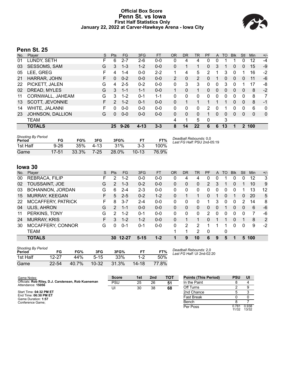# **Official Box Score Penn St. vs Iowa First Half Statistics Only January 22, 2022 at Carver-Hawkeye Arena - Iowa City**



# **Penn St. 25**

| No. | Plaver           | S  | <b>Pts</b> | <b>FG</b> | 3FG      | <b>FT</b> | <b>OR</b>      | <b>DR</b> | <b>TR</b>      | PF                   | A        | TO       | <b>B</b> lk | Stl      | Min      | $+/-$ |
|-----|------------------|----|------------|-----------|----------|-----------|----------------|-----------|----------------|----------------------|----------|----------|-------------|----------|----------|-------|
| 01  | LUNDY, SETH      | F  | 6          | $2 - 7$   | $2 - 6$  | $0-0$     | 0              | 4         | 4              |                      | 0        |          |             | 0        | 12       | -4    |
| 03  | SESSOMS, SAM     | G  | 3          | $1 - 3$   | $1 - 2$  | $0 - 0$   | 0              | 1         |                | 0                    | 3        |          | 0           | 0        | 15       | $-9$  |
| 05  | LEE, GREG        | F  | 4          | 1-4       | $0 - 0$  | $2 - 2$   | 1              | 4         | 5              | 2                    |          | 3        | 0           |          | 16       | $-2$  |
| 21  | HARRAR, JOHN     | F  | 0          | $0 - 2$   | $0 - 0$  | $0 - 0$   | $\overline{2}$ | 0         | $\overline{2}$ | $\Omega$             |          | 0        | $\Omega$    | 0        | 11       | -6    |
| 22  | PICKETT, JALEN   | G  | 4          | $2 - 5$   | $0 - 2$  | $0 - 0$   | 0              | 3         | 3              | 0                    | 0        | 3        | 0           |          | 17       | -8    |
| 02  | DREAD, MYLES     | G  | 3          | $1 - 1$   | $1 - 1$  | $0 - 0$   |                | $\Omega$  |                | $\Omega$             | 0        | $\Omega$ | $\Omega$    | 0        | 8        | $-2$  |
| 11  | CORNWALL, JAHEAM | G  | 3          | $1 - 2$   | $0 - 1$  | $1 - 1$   | 0              | 0         | 0              | 0                    | 0        | 0        | 0           | 0        | 8        | 7     |
| 13  | SCOTT, JEVONNIE  | F. | 2          | $1 - 2$   | $0 - 1$  | $0 - 0$   | 0              | 1         |                | 1                    |          |          | $\Omega$    | $\Omega$ | 8        | $-1$  |
| 14  | WHITE, JALANNI   | F  | 0          | $0 - 0$   | $0 - 0$  | $0 - 0$   | 0              | 0         | 0              | 2                    | 0        |          | $\Omega$    | 0        | 6        | 0     |
| 23  | JOHNSON, DALLION | G  | 0          | $0 - 0$   | $0 - 0$  | $0 - 0$   | 0              | 0         | $\Omega$       | $\blacktriangleleft$ | $\Omega$ | $\Omega$ | 0           | 0        | $\Omega$ | 0     |
|     | <b>TEAM</b>      |    |            |           |          |           | 4              | 1         | 5              | 0                    |          | 3        |             |          |          |       |
|     | <b>TOTALS</b>    |    |            | 25 9-26   | $4 - 13$ | $3 - 3$   | 8              | 14        | 22             | 6                    | 6        | 13       | 1           |          | 2 100    |       |
|     |                  |    |            |           |          |           |                |           |                |                      |          |          |             |          |          |       |

| <b>Shooting By Period</b><br>Period | FG       | FG%   | 3FG      | 3FG%  |         | FT%   | Deadball Rebounds: 0.0<br>Last FG Half: PSU 2nd-05:19 |
|-------------------------------------|----------|-------|----------|-------|---------|-------|-------------------------------------------------------|
| 1st Half                            | $9 - 26$ | 35%   | $4 - 13$ | 31%   | $3-3$   | 100%  |                                                       |
| Game                                | 17-51    | 33.3% | $7-25$   | 28.0% | $10-13$ | 76.9% |                                                       |

# **Iowa 30**

| No. | Plaver                | S  | <b>Pts</b>    | FG       | 3FG      | <b>FT</b> | OR | <b>DR</b> | TR       | PF             | A | TO | <b>B</b> lk | Stl          | Min | $+/-$ |
|-----|-----------------------|----|---------------|----------|----------|-----------|----|-----------|----------|----------------|---|----|-------------|--------------|-----|-------|
| 00  | REBRACA, FILIP        | F. | 2             | $1 - 2$  | $0 - 0$  | $0-0$     | 0  | 4         | 4        | 0              | 0 |    | 0           | Ω            | 12  | 3     |
| 02  | TOUSSAINT, JOE        | G  | $\mathcal{P}$ | $1 - 3$  | $0 - 2$  | $0 - 0$   | 0  | 0         | 0        | $\overline{2}$ | 3 |    | 0           |              | 10  | 9     |
| 03  | BOHANNON, JORDAN      | G  | 6             | $2 - 4$  | $2 - 3$  | $0 - 0$   | 0  | 0         | 0        | 0              | 0 | 0  | 0           |              | 13  | 12    |
| 15  | <b>MURRAY, KEEGAN</b> | F  | 5             | $2 - 5$  | $0 - 2$  | $1 - 2$   | 0  |           |          | 0              | 1 | 0  |             | 0            | 20  | 5     |
| 22  | MCCAFFERY, PATRICK    | F. | 8             | $3 - 7$  | $2 - 4$  | $0 - 0$   | 0  | 0         | $\Omega$ |                | 3 | 0  | 0           | 2            | 14  | 8     |
| 04  | <b>ULIS, AHRON</b>    | G  | 2             | $1 - 1$  | $0 - 0$  | $0 - 0$   | 0  | 0         | $\Omega$ | 0              | 0 |    | 0           | $\Omega$     | 6   | $-6$  |
| 11  | PERKINS, TONY         | G  | 2             | $1 - 2$  | $0 - 1$  | $0 - 0$   | 0  | 0         | $\Omega$ | 2              | 0 | 0  | $\Omega$    | <sup>0</sup> | 7   | -6    |
| 24  | <b>MURRAY, KRIS</b>   | F. | 3             | $1 - 2$  | $1 - 2$  | $0 - 0$   | 0  |           |          | 0              | 1 |    | $\Omega$    |              | 8   | 2     |
| 30  | MCCAFFERY, CONNOR     | G  | 0             | $0 - 1$  | $0 - 1$  | $0 - 0$   | 0  | 2         | 2        |                |   |    | 0           | 0            | 9   | $-2$  |
|     | <b>TEAM</b>           |    |               |          |          |           | 1  |           | 2        | $\mathbf 0$    |   | 0  |             |              |     |       |
|     | <b>TOTALS</b>         |    |               | 30 12-27 | $5 - 15$ | $1 - 2$   |    | 9         | 10       | 6              | 9 | 5  |             | 5            | 100 |       |

| <b>Shooting By Period</b><br>Period | FG        | FG%   | 3FG       | 3FG%  | FТ        | FT%   |
|-------------------------------------|-----------|-------|-----------|-------|-----------|-------|
| 1st Half                            | 12-27     | 44%   | $5 - 15$  | 33%   | $1-2$     | 50%   |
| Game                                | $22 - 54$ | 40.7% | $10 - 32$ | 31.3% | $14 - 18$ | 77.8% |

*Deadball Rebounds:* 2,0 *Last FG Half:* UI 2nd-02:20

| Game Notes:                                                              | <b>Score</b> | 1st | 2 <sub>nd</sub> | <b>TOT</b> | <b>Points (This Period)</b> | <b>PSU</b>     | UI             |
|--------------------------------------------------------------------------|--------------|-----|-----------------|------------|-----------------------------|----------------|----------------|
| Officials: Rob Riley, D.J. Carstensen, Rob Kueneman<br>Attendance: 15056 | PSU          | 25  | 26              | 51         | In the Paint                |                |                |
|                                                                          | UI           | 30  | 38              | 68         | Off Turns                   |                |                |
| Start Time: 04:32 PM ET                                                  |              |     |                 |            | 2nd Chance                  |                |                |
| End Time: 06:30 PM ET<br>Game Duration: 1:57                             |              |     |                 |            | <b>Fast Break</b>           |                |                |
| Conference Game:                                                         |              |     |                 |            | Bench                       |                |                |
|                                                                          |              |     |                 |            | Per Poss                    | 0.781<br>11/32 | 0.938<br>13/32 |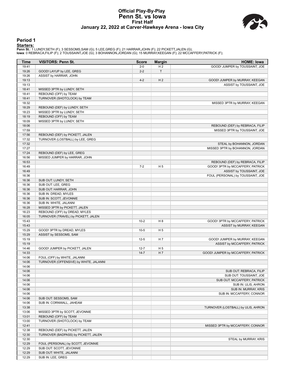### **Official Play-By-Play Penn St. vs Iowa First Half January 22, 2022 at Carver-Hawkeye Arena - Iowa City**



#### **Period 1**

<mark>Startersː</mark><br>Penn St.: 1 LUNDY,SETH (F); 3 SESSOMS,SAM (G); 5 LEE,GREG (F); 21 HARRAR,JOHN (F); 22 PICKETT,JALEN (G);<br>Iowa: 0 REBRACA,FILIP (F); 2 TOUSSAINT,JOE (G); 3 BOHANNON,JORDAN (G); 15 MURRAY,KEEGAN (F); 22 MCCAFFERY

| <b>Time</b>    | <b>VISITORS: Penn St.</b>              | <b>Score</b>         | <b>Margin</b>  | <b>HOME: Iowa</b>                  |
|----------------|----------------------------------------|----------------------|----------------|------------------------------------|
| 19:41          |                                        | $2 - 0$              | H <sub>2</sub> | GOOD! JUMPER by TOUSSAINT, JOE     |
| 19:26          | GOOD! LAYUP by LEE, GREG               | $2 - 2$              | T              |                                    |
| 19:26          | ASSIST by HARRAR, JOHN                 |                      |                |                                    |
| 19:13          |                                        | $4 - 2$              | H <sub>2</sub> | GOOD! JUMPER by MURRAY, KEEGAN     |
| 19:13          |                                        |                      |                | ASSIST by TOUSSAINT, JOE           |
| 18:41          | MISSED 3PTR by LUNDY, SETH             |                      |                |                                    |
| 18:41          | REBOUND (OFF) by TEAM                  |                      |                |                                    |
| 18:41          | TURNOVER (SHOTCLOCK) by TEAM           |                      |                |                                    |
| 18:32          |                                        |                      |                | MISSED 3PTR by MURRAY, KEEGAN      |
| 18:29          | REBOUND (DEF) by LUNDY, SETH           |                      |                |                                    |
| 18:23          | MISSED 3PTR by LUNDY, SETH             |                      |                |                                    |
| 18:19          | REBOUND (OFF) by TEAM                  |                      |                |                                    |
| 18:09          | MISSED 3PTR by LUNDY, SETH             |                      |                |                                    |
| 18:06          |                                        |                      |                | REBOUND (DEF) by REBRACA, FILIP    |
| 17:59          |                                        |                      |                | MISSED 3PTR by TOUSSAINT, JOE      |
| 17:56          | REBOUND (DEF) by PICKETT, JALEN        |                      |                |                                    |
| 17:32          | TURNOVER (LOSTBALL) by LEE, GREG       |                      |                |                                    |
| 17:32          |                                        |                      |                | STEAL by BOHANNON, JORDAN          |
| 17:27          |                                        |                      |                | MISSED 3PTR by BOHANNON, JORDAN    |
| 17:24          | REBOUND (DEF) by LEE, GREG             |                      |                |                                    |
| 16:56          | MISSED JUMPER by HARRAR, JOHN          |                      |                |                                    |
| 16:53          |                                        |                      |                | REBOUND (DEF) by REBRACA, FILIP    |
| 16:49          |                                        | $7 - 2$              | H <sub>5</sub> | GOOD! 3PTR by MCCAFFERY, PATRICK   |
| 16:49          |                                        |                      |                | ASSIST by TOUSSAINT, JOE           |
| 16:36          |                                        |                      |                | FOUL (PERSONAL) by TOUSSAINT, JOE  |
| 16:36          | SUB OUT: LUNDY, SETH                   |                      |                |                                    |
| 16:36          | SUB OUT: LEE, GREG                     |                      |                |                                    |
| 16:36          | SUB OUT: HARRAR, JOHN                  |                      |                |                                    |
| 16:36          | SUB IN: DREAD, MYLES                   |                      |                |                                    |
| 16:36          | SUB IN: SCOTT, JEVONNIE                |                      |                |                                    |
| 16:36          | SUB IN: WHITE, JALANNI                 |                      |                |                                    |
| 16:28          | MISSED 3PTR by PICKETT, JALEN          |                      |                |                                    |
| 16:23          | REBOUND (OFF) by DREAD, MYLES          |                      |                |                                    |
| 16:05          | TURNOVER (TRAVEL) by PICKETT, JALEN    |                      |                |                                    |
| 15:43          |                                        | $10 - 2$             | H <sub>8</sub> | GOOD! 3PTR by MCCAFFERY, PATRICK   |
| 15:43          |                                        |                      |                | ASSIST by MURRAY, KEEGAN           |
| 15:29          | GOOD! 3PTR by DREAD, MYLES             | $10-5$               | H <sub>5</sub> |                                    |
| 15:29          | ASSIST by SESSOMS, SAM                 |                      |                |                                    |
| 15:19          |                                        | $12 - 5$             | H 7            | GOOD! JUMPER by MURRAY, KEEGAN     |
| 15:19          |                                        |                      |                | ASSIST by MCCAFFERY, PATRICK       |
| 14:46          | GOOD! JUMPER by PICKETT, JALEN         | $12 - 7$<br>$14 - 7$ | H <sub>5</sub> |                                    |
| 14:33<br>14:06 | FOUL (OFF) by WHITE, JALANNI           |                      | H 7            | GOOD! JUMPER by MCCAFFERY, PATRICK |
| 14:06          | TURNOVER (OFFENSIVE) by WHITE, JALANNI |                      |                |                                    |
| 14:06          |                                        |                      |                |                                    |
| 14:06          |                                        |                      |                | SUB OUT: REBRACA, FILIP            |
| 14:06          |                                        |                      |                | SUB OUT: TOUSSAINT, JOE            |
| 14:06          |                                        |                      |                | SUB OUT: MCCAFFERY, PATRICK        |
| 14:06          |                                        |                      |                | SUB IN: ULIS, AHRON                |
| 14:06          |                                        |                      |                | SUB IN: MURRAY, KRIS               |
| 14:06          |                                        |                      |                | SUB IN: MCCAFFERY, CONNOR          |
| 14:06          | SUB OUT: SESSOMS, SAM                  |                      |                |                                    |
| 14:06          | SUB IN: CORNWALL, JAHEAM               |                      |                |                                    |
| 13:38          |                                        |                      |                | TURNOVER (LOSTBALL) by ULIS, AHRON |
| 13:06          | MISSED 3PTR by SCOTT, JEVONNIE         |                      |                |                                    |
| 13:01          | REBOUND (OFF) by TEAM                  |                      |                |                                    |
| 13:00          | TURNOVER (SHOTCLOCK) by TEAM           |                      |                |                                    |
| 12:41          |                                        |                      |                | MISSED 3PTR by MCCAFFERY, CONNOR   |
| 12:38          | REBOUND (DEF) by PICKETT, JALEN        |                      |                |                                    |
| 12:30          | TURNOVER (BADPASS) by PICKETT, JALEN   |                      |                |                                    |
| 12:30          |                                        |                      |                | STEAL by MURRAY, KRIS              |
| 12:29          | FOUL (PERSONAL) by SCOTT, JEVONNIE     |                      |                |                                    |
| 12:29          | SUB OUT: SCOTT, JEVONNIE               |                      |                |                                    |
| 12:29          | SUB OUT: WHITE, JALANNI                |                      |                |                                    |
| 12:29          | SUB IN: LEE, GREG                      |                      |                |                                    |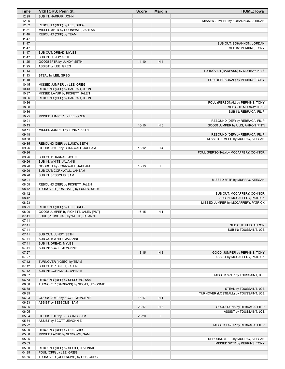| Time           | <b>VISITORS: Penn St.</b>             | <b>Score</b> | <b>Margin</b>  | <b>HOME: lowa</b>                                         |
|----------------|---------------------------------------|--------------|----------------|-----------------------------------------------------------|
| 12:29          | SUB IN: HARRAR, JOHN                  |              |                |                                                           |
| 12:06          |                                       |              |                | MISSED JUMPER by BOHANNON, JORDAN                         |
| 12:02          | REBOUND (DEF) by LEE, GREG            |              |                |                                                           |
| 11:51          | MISSED 3PTR by CORNWALL, JAHEAM       |              |                |                                                           |
| 11:48          | REBOUND (OFF) by TEAM                 |              |                |                                                           |
| 11:47          |                                       |              |                |                                                           |
| 11:47          |                                       |              |                | SUB OUT: BOHANNON, JORDAN                                 |
| 11:47          |                                       |              |                | SUB IN: PERKINS, TONY                                     |
| 11:47          | SUB OUT: DREAD, MYLES                 |              |                |                                                           |
| 11:47          | SUB IN: LUNDY, SETH                   |              |                |                                                           |
| 11:25          | GOOD! 3PTR by LUNDY, SETH             | $14 - 10$    | H4             |                                                           |
| 11:25          | ASSIST by LEE, GREG                   |              |                |                                                           |
| 11:13          |                                       |              |                | TURNOVER (BADPASS) by MURRAY, KRIS                        |
| 11:13          | STEAL by LEE, GREG                    |              |                |                                                           |
| 11:10          |                                       |              |                | FOUL (PERSONAL) by PERKINS, TONY                          |
| 10:45          | MISSED JUMPER by LEE, GREG            |              |                |                                                           |
| 10:43          | REBOUND (OFF) by HARRAR, JOHN         |              |                |                                                           |
| 10:37<br>10:36 | MISSED LAYUP by PICKETT, JALEN        |              |                |                                                           |
| 10:36          | REBOUND (OFF) by HARRAR, JOHN         |              |                |                                                           |
| 10:36          |                                       |              |                | FOUL (PERSONAL) by PERKINS, TONY<br>SUB OUT: MURRAY, KRIS |
| 10:36          |                                       |              |                | SUB IN: REBRACA, FILIP                                    |
| 10:25          | MISSED JUMPER by LEE, GREG            |              |                |                                                           |
| 10:21          |                                       |              |                | REBOUND (DEF) by REBRACA, FILIP                           |
| 10:13          |                                       | $16-10$      | H <sub>6</sub> | GOOD! JUMPER by ULIS, AHRON [PNT]                         |
| 09:51          | MISSED JUMPER by LUNDY, SETH          |              |                |                                                           |
| 09:48          |                                       |              |                | REBOUND (DEF) by REBRACA, FILIP                           |
| 09:38          |                                       |              |                | MISSED JUMPER by MURRAY, KEEGAN                           |
| 09:35          | REBOUND (DEF) by LUNDY, SETH          |              |                |                                                           |
| 09:26          | GOOD! LAYUP by CORNWALL, JAHEAM       | $16-12$      | H4             |                                                           |
| 09:26          |                                       |              |                | FOUL (PERSONAL) by MCCAFFERY, CONNOR                      |
| 09:26          | SUB OUT: HARRAR, JOHN                 |              |                |                                                           |
| 09:26          | SUB IN: WHITE, JALANNI                |              |                |                                                           |
| 09:26          | GOOD! FT by CORNWALL, JAHEAM          | $16-13$      | H <sub>3</sub> |                                                           |
| 09:26          | SUB OUT: CORNWALL, JAHEAM             |              |                |                                                           |
| 09:26          | SUB IN: SESSOMS, SAM                  |              |                |                                                           |
| 09:01          |                                       |              |                | MISSED 3PTR by MURRAY, KEEGAN                             |
| 08:58          | REBOUND (DEF) by PICKETT, JALEN       |              |                |                                                           |
| 08:42          | TURNOVER (LOSTBALL) by LUNDY, SETH    |              |                |                                                           |
| 08:42          |                                       |              |                | SUB OUT: MCCAFFERY, CONNOR                                |
| 08:42          |                                       |              |                | SUB IN: MCCAFFERY, PATRICK                                |
| 08:23          |                                       |              |                | MISSED JUMPER by MCCAFFERY, PATRICK                       |
| 08:21          | REBOUND (DEF) by LEE, GREG            |              |                |                                                           |
| 08:00          | GOOD! JUMPER by PICKETT, JALEN [PNT]  | $16-15$      | H <sub>1</sub> |                                                           |
| 07:41          | FOUL (PERSONAL) by WHITE, JALANNI     |              |                |                                                           |
| 07:41          |                                       |              |                |                                                           |
| 07:41          |                                       |              |                | SUB OUT: ULIS, AHRON                                      |
| 07:41          |                                       |              |                | SUB IN: TOUSSAINT, JOE                                    |
| 07:41          | SUB OUT: LUNDY, SETH                  |              |                |                                                           |
| 07:41          | SUB OUT: WHITE, JALANNI               |              |                |                                                           |
| 07:41          | SUB IN: DREAD, MYLES                  |              |                |                                                           |
| 07:41          | SUB IN: SCOTT, JEVONNIE               |              |                |                                                           |
| 07:27          |                                       | $18-15$      | $H_3$          | GOOD! JUMPER by PERKINS, TONY                             |
| 07:27          |                                       |              |                | ASSIST by MCCAFFERY, PATRICK                              |
| 07:12          | TURNOVER (10SEC) by TEAM              |              |                |                                                           |
| 07:12          | SUB OUT: PICKETT, JALEN               |              |                |                                                           |
| 07:12          | SUB IN: CORNWALL, JAHEAM              |              |                |                                                           |
| 06:57          |                                       |              |                | MISSED 3PTR by TOUSSAINT, JOE                             |
| 06:53          | REBOUND (DEF) by SESSOMS, SAM         |              |                |                                                           |
| 06:38          | TURNOVER (BADPASS) by SCOTT, JEVONNIE |              |                |                                                           |
| 06:38          |                                       |              |                | STEAL by TOUSSAINT, JOE                                   |
| 06:35          |                                       |              |                | TURNOVER (LOSTBALL) by TOUSSAINT, JOE                     |
| 06:23          | GOOD! LAYUP by SCOTT, JEVONNIE        | $18-17$      | H <sub>1</sub> |                                                           |
| 06:23          | ASSIST by SESSOMS, SAM                |              |                |                                                           |
| 06:05          |                                       | $20 - 17$    | $H_3$          | GOOD! DUNK by REBRACA, FILIP                              |
| 06:05          |                                       |              |                | ASSIST by TOUSSAINT, JOE                                  |
| 05:34          | GOOD! 3PTR by SESSOMS, SAM            | $20 - 20$    | $\mathsf T$    |                                                           |
| 05:34          | ASSIST by SCOTT, JEVONNIE             |              |                |                                                           |
| 05:22          |                                       |              |                | MISSED LAYUP by REBRACA, FILIP                            |
| 05:20          | REBOUND (DEF) by LEE, GREG            |              |                |                                                           |
| 05:08          | MISSED LAYUP by SESSOMS, SAM          |              |                |                                                           |
| 05:05          |                                       |              |                | REBOUND (DEF) by MURRAY, KEEGAN                           |
| 05:03          |                                       |              |                | MISSED 3PTR by PERKINS, TONY                              |
| 05:00          | REBOUND (DEF) by SCOTT, JEVONNIE      |              |                |                                                           |
| 04:35          | FOUL (OFF) by LEE, GREG               |              |                |                                                           |
| 04:35          | TURNOVER (OFFENSIVE) by LEE, GREG     |              |                |                                                           |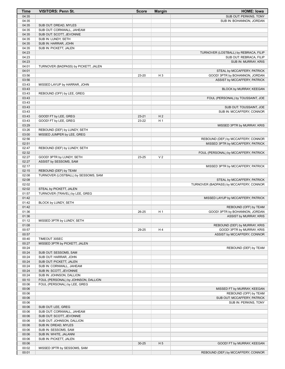| Time           | <b>VISITORS: Penn St.</b>                             | <b>Score</b> | <b>Margin</b>  | <b>HOME: Iowa</b>                                             |
|----------------|-------------------------------------------------------|--------------|----------------|---------------------------------------------------------------|
| 04:35          |                                                       |              |                | SUB OUT: PERKINS, TONY                                        |
| 04:35          |                                                       |              |                | SUB IN: BOHANNON, JORDAN                                      |
| 04:35          | SUB OUT: DREAD, MYLES                                 |              |                |                                                               |
| 04:35<br>04:35 | SUB OUT: CORNWALL, JAHEAM<br>SUB OUT: SCOTT, JEVONNIE |              |                |                                                               |
| 04:35          | SUB IN: LUNDY, SETH                                   |              |                |                                                               |
| 04:35          | SUB IN: HARRAR, JOHN                                  |              |                |                                                               |
| 04:35          | SUB IN: PICKETT, JALEN                                |              |                |                                                               |
| 04:23          |                                                       |              |                | TURNOVER (LOSTBALL) by REBRACA, FILIP                         |
| 04:23          |                                                       |              |                | SUB OUT: REBRACA, FILIP                                       |
| 04:23          |                                                       |              |                | SUB IN: MURRAY, KRIS                                          |
| 04:01          | TURNOVER (BADPASS) by PICKETT, JALEN                  |              |                |                                                               |
| 04:01<br>03:56 |                                                       | 23-20        | H <sub>3</sub> | STEAL by MCCAFFERY, PATRICK<br>GOOD! 3PTR by BOHANNON, JORDAN |
| 03:56          |                                                       |              |                | ASSIST by MCCAFFERY, PATRICK                                  |
| 03:43          | MISSED LAYUP by HARRAR, JOHN                          |              |                |                                                               |
| 03:43          |                                                       |              |                | BLOCK by MURRAY, KEEGAN                                       |
| 03:43          | REBOUND (OFF) by LEE, GREG                            |              |                |                                                               |
| 03:43          |                                                       |              |                | FOUL (PERSONAL) by TOUSSAINT, JOE                             |
| 03:43          |                                                       |              |                |                                                               |
| 03:43          |                                                       |              |                | SUB OUT: TOUSSAINT, JOE                                       |
| 03:43<br>03:43 | GOOD! FT by LEE, GREG                                 | $23 - 21$    | H <sub>2</sub> | SUB IN: MCCAFFERY, CONNOR                                     |
| 03:43          | GOOD! FT by LEE, GREG                                 | 23-22        | H <sub>1</sub> |                                                               |
| 03:29          |                                                       |              |                | MISSED 3PTR by MURRAY, KRIS                                   |
| 03:26          | REBOUND (DEF) by LUNDY, SETH                          |              |                |                                                               |
| 03:00          | MISSED JUMPER by LEE, GREG                            |              |                |                                                               |
| 02:56          |                                                       |              |                | REBOUND (DEF) by MCCAFFERY, CONNOR                            |
| 02:51          |                                                       |              |                | MISSED 3PTR by MCCAFFERY, PATRICK                             |
| 02:47          | REBOUND (DEF) by LUNDY, SETH                          |              |                |                                                               |
| 02:32          |                                                       |              | V <sub>2</sub> | FOUL (PERSONAL) by MCCAFFERY, PATRICK                         |
| 02:27<br>02:27 | GOOD! 3PTR by LUNDY, SETH<br>ASSIST by SESSOMS, SAM   | 23-25        |                |                                                               |
| 02:17          |                                                       |              |                | MISSED 3PTR by MCCAFFERY, PATRICK                             |
| 02:15          | REBOUND (DEF) by TEAM                                 |              |                |                                                               |
| 02:08          | TURNOVER (LOSTBALL) by SESSOMS, SAM                   |              |                |                                                               |
| 02:08          |                                                       |              |                | STEAL by MCCAFFERY, PATRICK                                   |
| 02:02          |                                                       |              |                | TURNOVER (BADPASS) by MCCAFFERY, CONNOR                       |
| 02:02          | STEAL by PICKETT, JALEN                               |              |                |                                                               |
| 01:57          | TURNOVER (TRAVEL) by LEE, GREG                        |              |                |                                                               |
| 01:42<br>01:42 | BLOCK by LUNDY, SETH                                  |              |                | MISSED LAYUP by MCCAFFERY, PATRICK                            |
| 01:42          |                                                       |              |                | REBOUND (OFF) by TEAM                                         |
| 01:36          |                                                       | 26-25        | H <sub>1</sub> | GOOD! 3PTR by BOHANNON, JORDAN                                |
| 01:36          |                                                       |              |                | ASSIST by MURRAY, KRIS                                        |
| 01:12          | MISSED 3PTR by LUNDY, SETH                            |              |                |                                                               |
| 01:08          |                                                       |              |                | REBOUND (DEF) by MURRAY, KRIS                                 |
| 00:57          |                                                       | 29-25        | H4             | GOOD! 3PTR by MURRAY, KRIS                                    |
| 00:57          |                                                       |              |                | ASSIST by MCCAFFERY, CONNOR                                   |
| 00:40<br>00:27 | TIMEOUT 30SEC                                         |              |                |                                                               |
| 00:24          | MISSED 3PTR by PICKETT, JALEN                         |              |                | REBOUND (DEF) by TEAM                                         |
| 00:24          | SUB OUT: SESSOMS, SAM                                 |              |                |                                                               |
| 00:24          | SUB OUT: HARRAR, JOHN                                 |              |                |                                                               |
| 00:24          | SUB OUT: PICKETT, JALEN                               |              |                |                                                               |
| 00:24          | SUB IN: CORNWALL, JAHEAM                              |              |                |                                                               |
| 00:24          | SUB IN: SCOTT, JEVONNIE                               |              |                |                                                               |
| 00:24          | SUB IN: JOHNSON, DALLION                              |              |                |                                                               |
| 00:10          | FOUL (PERSONAL) by JOHNSON, DALLION                   |              |                |                                                               |
| 00:06<br>00:06 | FOUL (PERSONAL) by LEE, GREG                          |              |                | MISSED FT by MURRAY, KEEGAN                                   |
| 00:06          |                                                       |              |                | REBOUND (OFF) by TEAM                                         |
| 00:06          |                                                       |              |                | SUB OUT: MCCAFFERY, PATRICK                                   |
| 00:06          |                                                       |              |                | SUB IN: PERKINS, TONY                                         |
| 00:06          | SUB OUT: LEE, GREG                                    |              |                |                                                               |
| 00:06          | SUB OUT: CORNWALL, JAHEAM                             |              |                |                                                               |
| 00:06          | SUB OUT: SCOTT, JEVONNIE                              |              |                |                                                               |
| 00:06          | SUB OUT: JOHNSON, DALLION                             |              |                |                                                               |
| 00:06          | SUB IN: DREAD, MYLES                                  |              |                |                                                               |
| 00:06          | SUB IN: SESSOMS, SAM                                  |              |                |                                                               |
| 00:06<br>00:06 | SUB IN: WHITE, JALANNI<br>SUB IN: PICKETT, JALEN      |              |                |                                                               |
| 00:06          |                                                       | $30 - 25$    | H <sub>5</sub> | GOOD! FT by MURRAY, KEEGAN                                    |
| 00:02          | MISSED 3PTR by SESSOMS, SAM                           |              |                |                                                               |
| 00:01          |                                                       |              |                | REBOUND (DEF) by MCCAFFERY, CONNOR                            |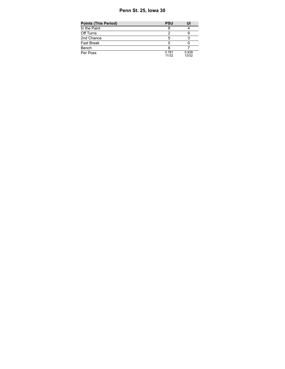# **Penn St. 25, Iowa 30**

| <b>Points (This Period)</b> | <b>PSU</b>     | UI             |
|-----------------------------|----------------|----------------|
| In the Paint                |                |                |
| Off Turns                   |                |                |
| 2nd Chance                  | 5              |                |
| Fast Break                  |                |                |
| Bench                       |                |                |
| Per Poss                    | 0.781<br>11/32 | 0.938<br>13/32 |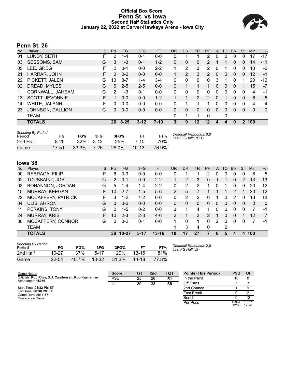# **Official Box Score Penn St. vs Iowa Second Half Statistics Only January 22, 2022 at Carver-Hawkeye Arena - Iowa City**



# **Penn St. 26**

| No. | Player                 | S  | <b>Pts</b> | FG.      | 3FG      | <b>FT</b> | <b>OR</b> | <b>DR</b> | TR              | PF            | A | TO       | <b>B</b> lk | Stl | <b>Min</b> | $+/-$ |
|-----|------------------------|----|------------|----------|----------|-----------|-----------|-----------|-----------------|---------------|---|----------|-------------|-----|------------|-------|
| 01  | LUNDY, SETH            | F  | 2          | $1 - 4$  | 0-1      | $0-0$     | 0         |           |                 | 2             | 0 | 0        | 0           | 0   | 17         | $-17$ |
| 03  | <b>SESSOMS, SAM</b>    | G  | 3          | $1 - 3$  | $0 - 1$  | $1 - 2$   | 0         | 0         | 0               | 2             |   |          | 0           | 0   | 14         | $-11$ |
| 05  | LEE, GREG              | F  | 2          | $0 - 1$  | $0 - 0$  | $2 - 2$   | 1         | 2         | 3               | 2             | 0 | 1        | 0           | 0   | 10         | $-2$  |
| 21  | HARRAR, JOHN           | F. | 0          | $0 - 2$  | $0 - 0$  | $0 - 0$   | 1         | 2         | 3               | $\mathcal{P}$ | 0 | $\Omega$ | $\Omega$    | 0   | 12         | $-1$  |
| 22  | PICKETT, JALEN         | G  | 10         | $3 - 7$  | $1 - 4$  | $3-4$     | 0         | 0         | 0               | $\Omega$      | 3 |          | 0           |     | 20         | $-12$ |
| 02  | DREAD, MYLES           | G  | 6          | $2 - 5$  | $2 - 5$  | $0 - 0$   | 0         | 1         |                 |               | 0 | 0        | 0           |     | 15         | $-7$  |
| 11  | CORNWALL, JAHEAM       | G  | 2          | $1 - 3$  | $0 - 1$  | $0 - 0$   | 0         | 0         | 0               | 0             | 0 | 0        | 0           | 0   | 4          | -1    |
| 13  | <b>SCOTT, JEVONNIE</b> | F  |            | $0 - 0$  | $0 - 0$  | $1 - 2$   |           | 1         | $\overline{2}$  | 2             | 0 | 1        | 0           | 0   | 6          | $-5$  |
| 14  | WHITE, JALANNI         | F  | 0          | $0 - 0$  | $0 - 0$  | $0 - 0$   | 0         | 1         | 1               | 1             | 0 | $\Omega$ | 0           | 0   | 4          | $-4$  |
| 23  | JOHNSON, DALLION       | G  | 0          | $0 - 0$  | $0 - 0$  | $0 - 0$   | 0         | 0         | 0               | $\Omega$      | 0 | $\Omega$ | $\Omega$    | 0   | 0          | 0     |
|     | TEAM                   |    |            |          |          |           | 0         | 1         | 1               | $\mathbf{0}$  |   | 0        |             |     |            |       |
|     | <b>TOTALS</b>          |    | 26         | $8 - 25$ | $3 - 12$ | $7 - 10$  | 3         | 9         | 12 <sup>°</sup> | 12            | 4 | Δ        | 0           | 2   | 100        |       |
|     |                        |    |            |          |          |           |           |           |                 |               |   |          |             |     |            |       |

| <b>Shooting By Period</b><br>Period | FG        | FG%   | 3FG    | 3FG%  | FT.     | FT%   | Deadball Rebounds: 0,0<br>Last FG Half: PSU - |
|-------------------------------------|-----------|-------|--------|-------|---------|-------|-----------------------------------------------|
| 2nd Half                            | 8-25      | 32%   | $3-12$ | 25%   | 7-10    | 70%   |                                               |
| Game                                | $17 - 51$ | 33.3% | 7-25   | 28.0% | $10-13$ | 76.9% |                                               |

# **Iowa 38**

| No. | Player              | S  | <b>Pts</b>    | FG        | 3FG     | <b>FT</b> | <b>OR</b>      | <b>DR</b> | TR       | PF             | A | TO | <b>B</b> lk    | Stl      | Min | $+/-$          |
|-----|---------------------|----|---------------|-----------|---------|-----------|----------------|-----------|----------|----------------|---|----|----------------|----------|-----|----------------|
| 00  | REBRACA, FILIP      | н. | 6             | $3 - 3$   | $0 - 0$ | $0-0$     | 0              |           |          | $\overline{2}$ | 0 | 0  | 0              | $\Omega$ | 8   | 5              |
| 02  | TOUSSAINT, JOE      | G  | 2             | $0 - 1$   | $0 - 0$ | $2 - 2$   |                | 2         | 3        | 0              |   |    | 0              | 2        | 13  | 13             |
| 03  | BOHANNON, JORDAN    | G  | 5             | $1 - 4$   | 1-4     | $2 - 2$   | 0              | 2         | 2        |                | 0 |    | 0              | 0        | 20  | 12             |
| 15  | MURRAY, KEEGAN      | F. | 10            | $2 - 7$   | $1 - 5$ | $5-6$     | 2              | 5         |          |                |   | 1  | $\mathcal{P}$  |          | 20  | 12             |
| 22  | MCCAFFERY, PATRICK  | F. | 3             | $1 - 2$   | $1 - 2$ | $0 - 0$   | $\Omega$       | 2         | 2        | 0              | 1 | 0  | $\mathcal{P}$  | 0        | 13  | 13             |
| 04  | <b>ULIS, AHRON</b>  | G  | 0             | $0 - 0$   | $0 - 0$ | $0 - 0$   | 0              | 0         | $\Omega$ | $\Omega$       | 0 | 0  | $\Omega$       | 0        | 0   | $\Omega$       |
| 11  | PERKINS, TONY       | G  | $\mathcal{P}$ | $1 - 5$   | $0 - 2$ | $0 - 0$   | 3              |           | 4        |                | 0 | 0  | 0              | O        |     | -1             |
| 24  | <b>MURRAY, KRIS</b> |    | 10            | $2 - 3$   | $2 - 3$ | $4-6$     | $\overline{2}$ |           | 3        | 2              |   | 0  | $\overline{0}$ |          | 12  | $\overline{7}$ |
| 30  | MCCAFFERY, CONNOR   | G  | 0             | $0 - 2$   | $0 - 1$ | $0 - 0$   |                | 0         |          | 0              | 2 | 0  | 0              | 0        | 7   | -1             |
|     | <b>TEAM</b>         |    |               |           |         |           |                | 3         | 4        | $\Omega$       |   | 2  |                |          |     |                |
|     | <b>TOTALS</b>       |    | 38            | $10 - 27$ | $5-17$  | $13 - 16$ | 10             | 17        | 27       |                | 6 | 5  | 4              | 4        | 100 |                |

| <b>Shooting By Period</b><br>Period | FG        | FG%   | 3FG       | 3FG%  |           | FT%   |
|-------------------------------------|-----------|-------|-----------|-------|-----------|-------|
| 2nd Half                            | $10 - 27$ | 37%   | $5-17$    | 29%   | $13 - 16$ | 81%   |
| Game                                | $22 - 54$ | 40.7% | $10 - 32$ | 31.3% | $14 - 18$ | 77.8% |

*Deadball Rebounds:* 2,0 *Last FG Half:* UI -

| Game Notes:                                                              | <b>Score</b> | 1st | 2 <sub>nd</sub> | <b>TOT</b> | <b>Points (This Period)</b> | <b>PSU</b>     | UI            |
|--------------------------------------------------------------------------|--------------|-----|-----------------|------------|-----------------------------|----------------|---------------|
| Officials: Rob Riley, D.J. Carstensen, Rob Kueneman<br>Attendance: 15056 | <b>PSU</b>   | 25  | 26              | 51         | In the Paint                | 10             |               |
|                                                                          | UI           | 30  | 38              | 68         | Off Turns                   |                |               |
| Start Time: 04:32 PM ET                                                  |              |     |                 |            | 2nd Chance                  |                |               |
| End Time: 06:30 PM ET<br>Game Duration: 1:57                             |              |     |                 |            | <b>Fast Break</b>           |                |               |
| Conference Game:                                                         |              |     |                 |            | Bench                       |                | 12            |
|                                                                          |              |     |                 |            | Per Poss                    | 0.867<br>12/30 | .357<br>17/28 |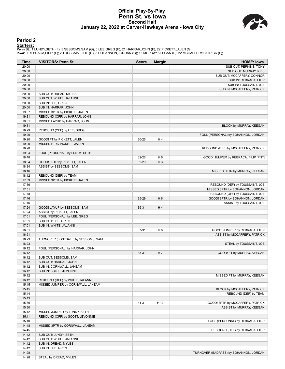### **Official Play-By-Play Penn St. vs Iowa Second Half January 22, 2022 at Carver-Hawkeye Arena - Iowa City**



### **Period 2**

<mark>Startersː</mark><br>Penn St.: 1 LUNDY,SETH (F); 3 SESSOMS,SAM (G); 5 LEE,GREG (F); 21 HARRAR,JOHN (F); 22 PICKETT,JALEN (G);<br>Iowa: 0 REBRACA,FILIP (F); 2 TOUSSAINT,JOE (G); 3 BOHANNON,JORDAN (G); 15 MURRAY,KEEGAN (F); 22 MCCAFFERY

| Time  | <b>VISITORS: Penn St.</b>           | <b>Score</b> | <b>Margin</b>  | <b>HOME: Iowa</b>                      |
|-------|-------------------------------------|--------------|----------------|----------------------------------------|
| 20:00 |                                     |              |                | SUB OUT: PERKINS, TONY                 |
| 20:00 |                                     |              |                | SUB OUT: MURRAY, KRIS                  |
| 20:00 |                                     |              |                | SUB OUT: MCCAFFERY, CONNOR             |
| 20:00 |                                     |              |                | SUB IN: REBRACA, FILIP                 |
| 20:00 |                                     |              |                | SUB IN: TOUSSAINT, JOE                 |
| 20:00 |                                     |              |                | SUB IN: MCCAFFERY, PATRICK             |
| 20:00 | SUB OUT: DREAD, MYLES               |              |                |                                        |
| 20:00 | SUB OUT: WHITE, JALANNI             |              |                |                                        |
| 20:00 | SUB IN: LEE, GREG                   |              |                |                                        |
| 20:00 | SUB IN: HARRAR, JOHN                |              |                |                                        |
| 19:37 | MISSED 3PTR by PICKETT, JALEN       |              |                |                                        |
| 19:31 | REBOUND (OFF) by HARRAR, JOHN       |              |                |                                        |
| 19:31 | MISSED LAYUP by HARRAR, JOHN        |              |                |                                        |
| 19:31 |                                     |              |                | BLOCK by MURRAY, KEEGAN                |
| 19:29 | REBOUND (OFF) by LEE, GREG          |              |                |                                        |
| 19:20 |                                     |              |                | FOUL (PERSONAL) by BOHANNON, JORDAN    |
| 19:20 | GOOD! FT by PICKETT, JALEN          | 30-26        | H4             |                                        |
| 19:20 | MISSED FT by PICKETT, JALEN         |              |                |                                        |
| 19:20 |                                     |              |                | REBOUND (DEF) by MCCAFFERY, PATRICK    |
| 19:04 | FOUL (PERSONAL) by LUNDY, SETH      |              |                |                                        |
| 18:48 |                                     | 32-26        | H <sub>6</sub> | GOOD! JUMPER by REBRACA, FILIP [PNT]   |
| 18:34 | GOOD! 3PTR by PICKETT, JALEN        | 32-29        | $H_3$          |                                        |
| 18:34 | ASSIST by SESSOMS, SAM              |              |                |                                        |
| 18:16 |                                     |              |                | MISSED 3PTR by MURRAY, KEEGAN          |
| 18:12 | REBOUND (DEF) by TEAM               |              |                |                                        |
| 17:59 | MISSED 3PTR by PICKETT, JALEN       |              |                |                                        |
| 17:56 |                                     |              |                | REBOUND (DEF) by TOUSSAINT, JOE        |
| 17:51 |                                     |              |                | MISSED 3PTR by BOHANNON, JORDAN        |
| 17:48 |                                     |              |                | REBOUND (OFF) by TOUSSAINT, JOE        |
| 17:46 |                                     | 35-29        | H <sub>6</sub> | GOOD! 3PTR by BOHANNON, JORDAN         |
| 17:46 |                                     |              |                | ASSIST by TOUSSAINT, JOE               |
| 17:24 | GOOD! LAYUP by SESSOMS, SAM         | $35 - 31$    | H4             |                                        |
| 17:24 | ASSIST by PICKETT, JALEN            |              |                |                                        |
| 17:01 | FOUL (PERSONAL) by LEE, GREG        |              |                |                                        |
| 17:01 | SUB OUT: LEE, GREG                  |              |                |                                        |
| 17:01 | SUB IN: WHITE, JALANNI              |              |                |                                        |
| 16:51 |                                     | 37-31        | H <sub>6</sub> | GOOD! JUMPER by REBRACA, FILIP         |
| 16:51 |                                     |              |                | ASSIST by MCCAFFERY, PATRICK           |
| 16:23 | TURNOVER (LOSTBALL) by SESSOMS, SAM |              |                |                                        |
| 16:23 |                                     |              |                | STEAL by TOUSSAINT, JOE                |
| 16:12 | FOUL (PERSONAL) by HARRAR, JOHN     |              |                |                                        |
| 16:12 |                                     | 38-31        | H 7            | GOOD! FT by MURRAY, KEEGAN             |
| 16:12 | SUB OUT: SESSOMS, SAM               |              |                |                                        |
| 16:12 | SUB OUT: HARRAR, JOHN               |              |                |                                        |
| 16:12 | SUB IN: CORNWALL, JAHEAM            |              |                |                                        |
| 16:12 | SUB IN: SCOTT, JEVONNIE             |              |                |                                        |
| 16:12 |                                     |              |                | MISSED FT by MURRAY, KEEGAN            |
| 16:12 | REBOUND (DEF) by WHITE, JALANNI     |              |                |                                        |
| 15:45 | MISSED JUMPER by CORNWALL, JAHEAM   |              |                |                                        |
| 15:45 |                                     |              |                | BLOCK by MCCAFFERY, PATRICK            |
| 15:44 |                                     |              |                | REBOUND (DEF) by TEAM                  |
| 15:43 |                                     |              |                |                                        |
| 15:30 |                                     | 41-31        | H 10           | GOOD! 3PTR by MCCAFFERY, PATRICK       |
| 15:30 |                                     |              |                | ASSIST by MURRAY, KEEGAN               |
| 15:12 | MISSED JUMPER by LUNDY, SETH        |              |                |                                        |
| 15:11 | REBOUND (OFF) by SCOTT, JEVONNIE    |              |                |                                        |
| 15:10 |                                     |              |                | FOUL (PERSONAL) by REBRACA, FILIP      |
| 14:48 | MISSED 3PTR by CORNWALL, JAHEAM     |              |                |                                        |
| 14:45 |                                     |              |                | REBOUND (DEF) by REBRACA, FILIP        |
| 14:42 | SUB OUT: LUNDY, SETH                |              |                |                                        |
| 14:42 | SUB OUT: WHITE, JALANNI             |              |                |                                        |
| 14:42 | SUB IN: DREAD, MYLES                |              |                |                                        |
| 14:42 | SUB IN: LEE, GREG                   |              |                |                                        |
| 14:28 |                                     |              |                | TURNOVER (BADPASS) by BOHANNON, JORDAN |
| 14:28 | STEAL by DREAD, MYLES               |              |                |                                        |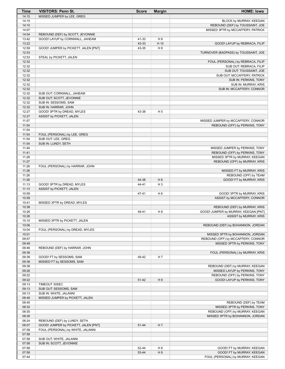| Time  | <b>VISITORS: Penn St.</b>            | <b>Score</b> | <b>Margin</b>  | <b>HOME: Iowa</b>                    |
|-------|--------------------------------------|--------------|----------------|--------------------------------------|
| 14:15 | MISSED JUMPER by LEE, GREG           |              |                |                                      |
| 14:15 |                                      |              |                | BLOCK by MURRAY, KEEGAN              |
| 14:10 |                                      |              |                | REBOUND (DEF) by TOUSSAINT, JOE      |
| 14:07 |                                      |              |                | MISSED 3PTR by MCCAFFERY, PATRICK    |
| 14:04 | REBOUND (DEF) by SCOTT, JEVONNIE     |              |                |                                      |
| 13:42 | GOOD! LAYUP by CORNWALL, JAHEAM      | 41-33        | H 8            |                                      |
| 13:22 |                                      | 43-33        | H 10           | GOOD! LAYUP by REBRACA, FILIP        |
| 12:59 | GOOD! JUMPER by PICKETT, JALEN [PNT] | 43-35        | H 8            |                                      |
| 12:53 |                                      |              |                | TURNOVER (BADPASS) by TOUSSAINT, JOE |
| 12:53 | STEAL by PICKETT, JALEN              |              |                |                                      |
| 12:32 |                                      |              |                | FOUL (PERSONAL) by REBRACA, FILIP    |
| 12:32 |                                      |              |                | SUB OUT: REBRACA, FILIP              |
| 12:32 |                                      |              |                | SUB OUT: TOUSSAINT, JOE              |
| 12:32 |                                      |              |                | SUB OUT: MCCAFFERY, PATRICK          |
| 12:32 |                                      |              |                | SUB IN: PERKINS, TONY                |
| 12:32 |                                      |              |                | SUB IN: MURRAY, KRIS                 |
| 12:32 |                                      |              |                | SUB IN: MCCAFFERY, CONNOR            |
| 12:32 | SUB OUT: CORNWALL, JAHEAM            |              |                |                                      |
| 12:32 | SUB OUT: SCOTT, JEVONNIE             |              |                |                                      |
| 12:32 | SUB IN: SESSOMS, SAM                 |              |                |                                      |
| 12:32 | SUB IN: HARRAR, JOHN                 |              |                |                                      |
| 12:27 | GOOD! 3PTR by DREAD, MYLES           | 43-38        | H <sub>5</sub> |                                      |
| 12:27 | ASSIST by PICKETT, JALEN             |              |                |                                      |
| 11:57 |                                      |              |                | MISSED JUMPER by MCCAFFERY, CONNOR   |
| 11:54 |                                      |              |                | REBOUND (OFF) by PERKINS, TONY       |
| 11:54 |                                      |              |                |                                      |
| 11:54 | FOUL (PERSONAL) by LEE, GREG         |              |                |                                      |
| 11:54 | SUB OUT: LEE, GREG                   |              |                |                                      |
| 11:54 | SUB IN: LUNDY, SETH                  |              |                |                                      |
| 11:44 |                                      |              |                | MISSED JUMPER by PERKINS, TONY       |
| 11:41 |                                      |              |                | REBOUND (OFF) by PERKINS, TONY       |
| 11:28 |                                      |              |                | MISSED 3PTR by MURRAY, KEEGAN        |
| 11:27 |                                      |              |                | REBOUND (OFF) by MURRAY, KRIS        |
| 11:26 | FOUL (PERSONAL) by HARRAR, JOHN      |              |                |                                      |
| 11:26 |                                      |              |                | MISSED FT by MURRAY, KRIS            |
| 11:26 |                                      |              |                | REBOUND (OFF) by TEAM                |
| 11:26 |                                      | 44-38        | H <sub>6</sub> | GOOD! FT by MURRAY, KRIS             |
| 11:13 | GOOD! 3PTR by DREAD, MYLES           | 44-41        | $H_3$          |                                      |
| 11:13 | ASSIST by PICKETT, JALEN             |              |                |                                      |
| 10:59 |                                      | 47-41        | H <sub>6</sub> | GOOD! 3PTR by MURRAY, KRIS           |
| 10:59 |                                      |              |                | ASSIST by MCCAFFERY, CONNOR          |
| 10:41 | MISSED 3PTR by DREAD, MYLES          |              |                |                                      |
| 10:38 |                                      |              |                | REBOUND (DEF) by MURRAY, KRIS        |
| 10:26 |                                      | 49-41        | H <sub>8</sub> | GOOD! JUMPER by MURRAY, KEEGAN [PNT] |
| 10:26 |                                      |              |                | ASSIST by MURRAY, KRIS               |
| 10:10 | MISSED 3PTR by PICKETT, JALEN        |              |                |                                      |
| 10:06 |                                      |              |                | REBOUND (DEF) by BOHANNON, JORDAN    |
| 10:04 | FOUL (PERSONAL) by DREAD, MYLES      |              |                |                                      |
| 10:01 |                                      |              |                | MISSED 3PTR by BOHANNON, JORDAN      |
| 09:57 |                                      |              |                | REBOUND (OFF) by MCCAFFERY, CONNOR   |
| 09:49 |                                      |              |                | MISSED 3PTR by PERKINS, TONY         |
| 09:46 | REBOUND (DEF) by HARRAR, JOHN        |              |                |                                      |
| 09:38 |                                      |              |                | FOUL (PERSONAL) by MURRAY, KRIS      |
| 09:38 | GOOD! FT by SESSOMS, SAM             | 49-42        | H 7            |                                      |
| 09:38 | MISSED FT by SESSOMS, SAM            |              |                |                                      |
| 09:38 |                                      |              |                | REBOUND (DEF) by MURRAY, KEEGAN      |
| 09:26 |                                      |              |                | MISSED LAYUP by PERKINS, TONY        |
| 09:22 |                                      |              |                | REBOUND (OFF) by PERKINS, TONY       |
| 09:22 |                                      | 51-42        | H <sub>9</sub> | GOOD! LAYUP by PERKINS, TONY         |
| 09:13 | TIMEOUT 30SEC                        |              |                |                                      |
| 09:13 | SUB OUT: SESSOMS, SAM                |              |                |                                      |
| 09:13 | SUB IN: WHITE, JALANNI               |              |                |                                      |
| 08:49 | MISSED JUMPER by PICKETT, JALEN      |              |                |                                      |
| 08:45 |                                      |              |                | REBOUND (DEF) by TEAM                |
| 08:32 |                                      |              |                | MISSED 3PTR by PERKINS, TONY         |
| 08:30 |                                      |              |                | REBOUND (OFF) by MURRAY, KEEGAN      |
| 08:26 |                                      |              |                | MISSED 3PTR by BOHANNON, JORDAN      |
| 08:24 | REBOUND (DEF) by LUNDY, SETH         |              |                |                                      |
| 08:07 | GOOD! JUMPER by PICKETT, JALEN [PNT] | 51-44        | H 7            |                                      |
| 07:58 | FOUL (PERSONAL) by WHITE, JALANNI    |              |                |                                      |
| 07:58 |                                      |              |                |                                      |
| 07:58 | SUB OUT: WHITE, JALANNI              |              |                |                                      |
| 07:58 | SUB IN: SCOTT, JEVONNIE              |              |                |                                      |
| 07:58 |                                      | 52-44        | H 8            | GOOD! FT by MURRAY, KEEGAN           |
| 07:58 |                                      | 53-44        | H9             | GOOD! FT by MURRAY, KEEGAN           |
| 07:44 |                                      |              |                | FOUL (PERSONAL) by MURRAY, KEEGAN    |
|       |                                      |              |                |                                      |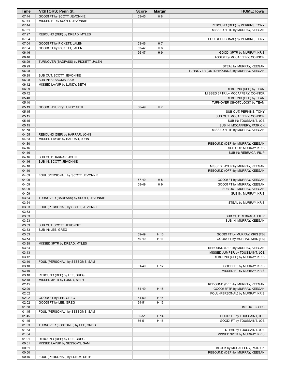| Time           | <b>VISITORS: Penn St.</b>             | <b>Score</b>   | <b>Margin</b>  | <b>HOME: Iowa</b>                                    |
|----------------|---------------------------------------|----------------|----------------|------------------------------------------------------|
| 07:44          | GOOD! FT by SCOTT, JEVONNIE           | 53-45          | H 8            |                                                      |
| 07:44          | MISSED FT by SCOTT, JEVONNIE          |                |                |                                                      |
| 07:44          |                                       |                |                | REBOUND (DEF) by PERKINS, TONY                       |
| 07:31          |                                       |                |                | MISSED 3PTR by MURRAY, KEEGAN                        |
| 07:27          | REBOUND (DEF) by DREAD, MYLES         |                |                |                                                      |
| 07:04          |                                       |                |                | FOUL (PERSONAL) by PERKINS, TONY                     |
| 07:04          | GOOD! FT by PICKETT, JALEN            | 53-46          | H <sub>7</sub> |                                                      |
| 07:04          | GOOD! FT by PICKETT, JALEN            | 53-47          | H <sub>6</sub> |                                                      |
| 06:46          |                                       | 56-47          | H <sub>9</sub> | GOOD! 3PTR by MURRAY, KRIS                           |
| 06:46          |                                       |                |                | ASSIST by MCCAFFERY, CONNOR                          |
| 06:29          | TURNOVER (BADPASS) by PICKETT, JALEN  |                |                |                                                      |
| 06:29          |                                       |                |                | STEAL by MURRAY, KEEGAN                              |
| 06:28          |                                       |                |                | TURNOVER (OUTOFBOUNDS) by MURRAY, KEEGAN             |
| 06:28          | SUB OUT: SCOTT, JEVONNIE              |                |                |                                                      |
| 06:28          | SUB IN: SESSOMS, SAM                  |                |                |                                                      |
| 06:12          | MISSED LAYUP by LUNDY, SETH           |                |                |                                                      |
| 06:09          |                                       |                |                | REBOUND (DEF) by TEAM                                |
| 05:42          |                                       |                |                | MISSED 3PTR by MCCAFFERY, CONNOR                     |
| 05:40          |                                       |                |                | REBOUND (OFF) by TEAM                                |
| 05:40          |                                       | 56-49          | H 7            | TURNOVER (SHOTCLOCK) by TEAM                         |
| 05:19<br>05:15 | GOOD! LAYUP by LUNDY, SETH            |                |                |                                                      |
| 05:15          |                                       |                |                | SUB OUT: PERKINS, TONY<br>SUB OUT: MCCAFFERY, CONNOR |
| 05:15          |                                       |                |                | SUB IN: TOUSSAINT, JOE                               |
| 05:15          |                                       |                |                | SUB IN: MCCAFFERY, PATRICK                           |
| 04:58          |                                       |                |                | MISSED 3PTR by MURRAY, KEEGAN                        |
| 04:55          | REBOUND (DEF) by HARRAR, JOHN         |                |                |                                                      |
| 04:33          | MISSED LAYUP by HARRAR, JOHN          |                |                |                                                      |
| 04:30          |                                       |                |                | REBOUND (DEF) by MURRAY, KEEGAN                      |
| 04:16          |                                       |                |                | SUB OUT: MURRAY, KRIS                                |
| 04:16          |                                       |                |                | SUB IN: REBRACA, FILIP                               |
| 04:16          | SUB OUT: HARRAR, JOHN                 |                |                |                                                      |
| 04:16          | SUB IN: SCOTT, JEVONNIE               |                |                |                                                      |
| 04:10          |                                       |                |                | MISSED LAYUP by MURRAY, KEEGAN                       |
| 04:10          |                                       |                |                | REBOUND (OFF) by MURRAY, KEEGAN                      |
| 04:09          | FOUL (PERSONAL) by SCOTT, JEVONNIE    |                |                |                                                      |
| 04:09          |                                       | 57-49          | H 8            | GOOD! FT by MURRAY, KEEGAN                           |
| 04:09          |                                       | 58-49          | H <sub>9</sub> | GOOD! FT by MURRAY, KEEGAN                           |
| 04:09          |                                       |                |                | SUB OUT: MURRAY, KEEGAN                              |
| 04:09          |                                       |                |                | SUB IN: MURRAY, KRIS                                 |
| 03:54          | TURNOVER (BADPASS) by SCOTT, JEVONNIE |                |                |                                                      |
| 03:54          |                                       |                |                | STEAL by MURRAY, KRIS                                |
| 03:53          | FOUL (PERSONAL) by SCOTT, JEVONNIE    |                |                |                                                      |
| 03:53          |                                       |                |                |                                                      |
| 03:53          |                                       |                |                | SUB OUT: REBRACA, FILIP                              |
| 03:53          |                                       |                |                | SUB IN: MURRAY, KEEGAN                               |
| 03:53          | SUB OUT: SCOTT, JEVONNIE              |                |                |                                                      |
| 03:53          | SUB IN: LEE, GREG                     |                |                |                                                      |
| 03:53          |                                       | 59-49          | H 10           | GOOD! FT by MURRAY, KRIS [FB]                        |
| 03:53          |                                       | 60-49          | H 11           | GOOD! FT by MURRAY, KRIS [FB]                        |
| 03:38          | MISSED 3PTR by DREAD, MYLES           |                |                |                                                      |
| 03:34          |                                       |                |                | REBOUND (DEF) by MURRAY, KEEGAN                      |
| 03:13          |                                       |                |                | MISSED JUMPER by TOUSSAINT, JOE                      |
| 03:12          |                                       |                |                | REBOUND (OFF) by MURRAY, KRIS                        |
| 03:10          | FOUL (PERSONAL) by SESSOMS, SAM       |                |                |                                                      |
| 03:10          |                                       | 61-49          | H 12           | GOOD! FT by MURRAY, KRIS                             |
| 03:10          |                                       |                |                | MISSED FT by MURRAY, KRIS                            |
| 03:10          | REBOUND (DEF) by LEE, GREG            |                |                |                                                      |
| 02:48          | MISSED 3PTR by LUNDY, SETH            |                |                |                                                      |
| 02:45          |                                       |                |                | REBOUND (DEF) by MURRAY, KEEGAN                      |
| 02:20          |                                       | 64-49          | H 15           | GOOD! 3PTR by MURRAY, KEEGAN                         |
| 02:02          |                                       |                |                | FOUL (PERSONAL) by MURRAY, KRIS                      |
| 02:02          | GOOD! FT by LEE, GREG                 | 64-50          | H 14           |                                                      |
| 02:02          | GOOD! FT by LEE, GREG                 | 64-51          | H 13           |                                                      |
| 01:58          |                                       |                |                | TIMEOUT 30SEC                                        |
| 01:45<br>01:45 | FOUL (PERSONAL) by SESSOMS, SAM       |                | H 14           | GOOD! FT by TOUSSAINT, JOE                           |
| 01:45          |                                       | 65-51<br>66-51 | H 15           | GOOD! FT by TOUSSAINT, JOE                           |
| 01:33          | TURNOVER (LOSTBALL) by LEE, GREG      |                |                |                                                      |
| 01:33          |                                       |                |                | STEAL by TOUSSAINT, JOE                              |
| 01:04          |                                       |                |                | MISSED 3PTR by MURRAY, KRIS                          |
| 01:01          | REBOUND (DEF) by LEE, GREG            |                |                |                                                      |
| 00:51          | MISSED LAYUP by SESSOMS, SAM          |                |                |                                                      |
| 00:51          |                                       |                |                | BLOCK by MCCAFFERY, PATRICK                          |
| 00:50          |                                       |                |                | REBOUND (DEF) by MURRAY, KEEGAN                      |
| 00:46          | FOUL (PERSONAL) by LUNDY, SETH        |                |                |                                                      |
|                |                                       |                |                |                                                      |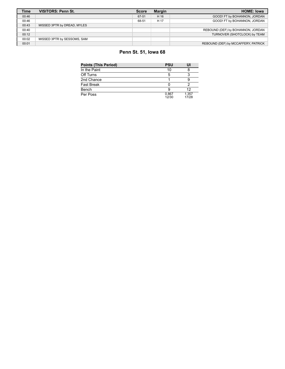| Time  | <b>VISITORS: Penn St.</b>   | <b>Score</b> | <b>Margin</b> | <b>HOME: Iowa</b>                   |
|-------|-----------------------------|--------------|---------------|-------------------------------------|
| 00:46 |                             | 67-51        | H 16          | GOOD! FT by BOHANNON, JORDAN        |
| 00:46 |                             | 68-51        | H 17          | GOOD! FT by BOHANNON, JORDAN        |
| 00:43 | MISSED 3PTR by DREAD, MYLES |              |               |                                     |
| 00:40 |                             |              |               | REBOUND (DEF) by BOHANNON, JORDAN   |
| 00:12 |                             |              |               | TURNOVER (SHOTCLOCK) by TEAM        |
| 00:02 | MISSED 3PTR by SESSOMS, SAM |              |               |                                     |
| 00:01 |                             |              |               | REBOUND (DEF) by MCCAFFERY, PATRICK |

# **Penn St. 51, Iowa 68**

| <b>Points (This Period)</b> | <b>PSU</b>     | UI             |
|-----------------------------|----------------|----------------|
| In the Paint                | 10             |                |
| Off Turns                   | 5              |                |
| 2nd Chance                  |                |                |
| <b>Fast Break</b>           |                |                |
| Bench                       |                | 12             |
| Per Poss                    | 0.867<br>12/30 | 1.357<br>17/28 |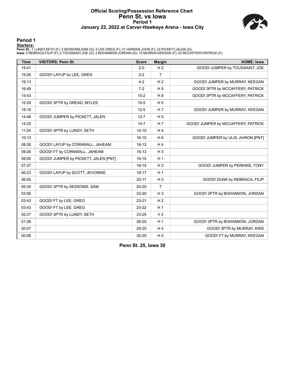### **Official Scoring/Possession Reference Chart Penn St. vs Iowa Period 1 January 22, 2022 at Carver-Hawkeye Arena - Iowa City**



### **Period 1**

<mark>Startersː</mark><br>Penn St.: 1 LUNDY,SETH (F); 3 SESSOMS,SAM (G); 5 LEE,GREG (F); 21 HARRAR,JOHN (F); 22 PICKETT,JALEN (G);<br>Iowa: 0 REBRACA,FILIP (F); 2 TOUSSAINT,JOE (G); 3 BOHANNON,JORDAN (G); 15 MURRAY,KEEGAN (F); 22 MCCAFFERY

| <b>Time</b> | <b>VISITORS: Penn St.</b>            | <b>Score</b> | <b>Margin</b>  | <b>HOME: Iowa</b>                  |
|-------------|--------------------------------------|--------------|----------------|------------------------------------|
| 19:41       |                                      | $2 - 0$      | H <sub>2</sub> | GOOD! JUMPER by TOUSSAINT, JOE     |
| 19:26       | GOOD! LAYUP by LEE, GREG             | $2 - 2$      | $\mathsf{T}$   |                                    |
| 19:13       |                                      | $4 - 2$      | H <sub>2</sub> | GOOD! JUMPER by MURRAY, KEEGAN     |
| 16:49       |                                      | $7-2$        | H <sub>5</sub> | GOOD! 3PTR by MCCAFFERY, PATRICK   |
| 15:43       |                                      | $10-2$       | H8             | GOOD! 3PTR by MCCAFFERY, PATRICK   |
| 15:29       | GOOD! 3PTR by DREAD, MYLES           | $10-5$       | H <sub>5</sub> |                                    |
| 15:19       |                                      | $12 - 5$     | H <sub>7</sub> | GOOD! JUMPER by MURRAY, KEEGAN     |
| 14:46       | GOOD! JUMPER by PICKETT, JALEN       | $12 - 7$     | H <sub>5</sub> |                                    |
| 14:33       |                                      | $14 - 7$     | H 7            | GOOD! JUMPER by MCCAFFERY, PATRICK |
| 11:25       | GOOD! 3PTR by LUNDY, SETH            | $14 - 10$    | H <sub>4</sub> |                                    |
| 10:13       |                                      | $16 - 10$    | H <sub>6</sub> | GOOD! JUMPER by ULIS, AHRON [PNT]  |
| 09:26       | GOOD! LAYUP by CORNWALL, JAHEAM      | $16-12$      | H <sub>4</sub> |                                    |
| 09:26       | GOOD! FT by CORNWALL, JAHEAM         | $16 - 13$    | $H_3$          |                                    |
| 08:00       | GOOD! JUMPER by PICKETT, JALEN [PNT] | $16 - 15$    | H <sub>1</sub> |                                    |
| 07:27       |                                      | $18 - 15$    | $H_3$          | GOOD! JUMPER by PERKINS, TONY      |
| 06:23       | GOOD! LAYUP by SCOTT, JEVONNIE       | $18 - 17$    | H <sub>1</sub> |                                    |
| 06:05       |                                      | $20 - 17$    | $H_3$          | GOOD! DUNK by REBRACA, FILIP       |
| 05:34       | GOOD! 3PTR by SESSOMS, SAM           | 20-20        | $\mathsf{T}$   |                                    |
| 03:56       |                                      | 23-20        | $H_3$          | GOOD! 3PTR by BOHANNON, JORDAN     |
| 03:43       | GOOD! FT by LEE, GREG                | $23 - 21$    | H <sub>2</sub> |                                    |
| 03:43       | GOOD! FT by LEE, GREG                | 23-22        | H <sub>1</sub> |                                    |
| 02:27       | GOOD! 3PTR by LUNDY, SETH            | 23-25        | V <sub>2</sub> |                                    |
| 01:36       |                                      | 26-25        | H <sub>1</sub> | GOOD! 3PTR by BOHANNON, JORDAN     |
| 00:57       |                                      | 29-25        | H <sub>4</sub> | GOOD! 3PTR by MURRAY, KRIS         |
| 00:06       |                                      | 30-25        | H <sub>5</sub> | GOOD! FT by MURRAY, KEEGAN         |

**Penn St. 25, Iowa 30**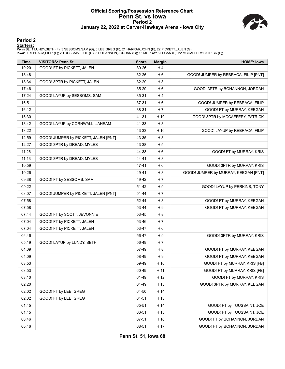# **Official Scoring/Possession Reference Chart Penn St. vs Iowa Period 2 January 22, 2022 at Carver-Hawkeye Arena - Iowa City**



### **Period 2**

<mark>Startersː</mark><br>Penn St.: 1 LUNDY,SETH (F); 3 SESSOMS,SAM (G); 5 LEE,GREG (F); 21 HARRAR,JOHN (F); 22 PICKETT,JALEN (G);<br>Iowa: 0 REBRACA,FILIP (F); 2 TOUSSAINT,JOE (G); 3 BOHANNON,JORDAN (G); 15 MURRAY,KEEGAN (F); 22 MCCAFFERY

| <b>Time</b> | <b>VISITORS: Penn St.</b>            | <b>Score</b> | <b>Margin</b>  | <b>HOME: Iowa</b>                    |
|-------------|--------------------------------------|--------------|----------------|--------------------------------------|
| 19:20       | GOOD! FT by PICKETT, JALEN           | 30-26        | H4             |                                      |
| 18:48       |                                      | 32-26        | H <sub>6</sub> | GOOD! JUMPER by REBRACA, FILIP [PNT] |
| 18:34       | GOOD! 3PTR by PICKETT, JALEN         | 32-29        | $H_3$          |                                      |
| 17:46       |                                      | 35-29        | H <sub>6</sub> | GOOD! 3PTR by BOHANNON, JORDAN       |
| 17:24       | GOOD! LAYUP by SESSOMS, SAM          | 35-31        | H 4            |                                      |
| 16:51       |                                      | 37-31        | H <sub>6</sub> | GOOD! JUMPER by REBRACA, FILIP       |
| 16:12       |                                      | 38-31        | H 7            | GOOD! FT by MURRAY, KEEGAN           |
| 15:30       |                                      | 41-31        | H 10           | GOOD! 3PTR by MCCAFFERY, PATRICK     |
| 13:42       | GOOD! LAYUP by CORNWALL, JAHEAM      | 41-33        | H <sub>8</sub> |                                      |
| 13:22       |                                      | 43-33        | H 10           | GOOD! LAYUP by REBRACA, FILIP        |
| 12:59       | GOOD! JUMPER by PICKETT, JALEN [PNT] | 43-35        | H <sub>8</sub> |                                      |
| 12:27       | GOOD! 3PTR by DREAD, MYLES           | 43-38        | H <sub>5</sub> |                                      |
| 11:26       |                                      | 44-38        | H <sub>6</sub> | GOOD! FT by MURRAY, KRIS             |
| 11:13       | GOOD! 3PTR by DREAD, MYLES           | 44-41        | $H_3$          |                                      |
| 10:59       |                                      | 47-41        | H <sub>6</sub> | GOOD! 3PTR by MURRAY, KRIS           |
| 10:26       |                                      | 49-41        | H <sub>8</sub> | GOOD! JUMPER by MURRAY, KEEGAN [PNT] |
| 09:38       | GOOD! FT by SESSOMS, SAM             | 49-42        | H 7            |                                      |
| 09:22       |                                      | 51-42        | H 9            | GOOD! LAYUP by PERKINS, TONY         |
| 08:07       | GOOD! JUMPER by PICKETT, JALEN [PNT] | 51-44        | H 7            |                                      |
| 07:58       |                                      | 52-44        | H <sub>8</sub> | GOOD! FT by MURRAY, KEEGAN           |
| 07:58       |                                      | 53-44        | H 9            | GOOD! FT by MURRAY, KEEGAN           |
| 07:44       | GOOD! FT by SCOTT, JEVONNIE          | 53-45        | H <sub>8</sub> |                                      |
| 07:04       | GOOD! FT by PICKETT, JALEN           | 53-46        | H 7            |                                      |
| 07:04       | GOOD! FT by PICKETT, JALEN           | 53-47        | H <sub>6</sub> |                                      |
| 06:46       |                                      | 56-47        | H 9            | GOOD! 3PTR by MURRAY, KRIS           |
| 05:19       | GOOD! LAYUP by LUNDY, SETH           | 56-49        | H 7            |                                      |
| 04:09       |                                      | 57-49        | H <sub>8</sub> | GOOD! FT by MURRAY, KEEGAN           |
| 04:09       |                                      | 58-49        | H 9            | GOOD! FT by MURRAY, KEEGAN           |
| 03:53       |                                      | 59-49        | H 10           | GOOD! FT by MURRAY, KRIS [FB]        |
| 03:53       |                                      | 60-49        | H 11           | GOOD! FT by MURRAY, KRIS [FB]        |
| 03:10       |                                      | 61-49        | H 12           | GOOD! FT by MURRAY, KRIS             |
| 02:20       |                                      | 64-49        | H 15           | GOOD! 3PTR by MURRAY, KEEGAN         |
| 02:02       | GOOD! FT by LEE, GREG                | 64-50        | H 14           |                                      |
| 02:02       | GOOD! FT by LEE, GREG                | 64-51        | H 13           |                                      |
| 01:45       |                                      | 65-51        | H 14           | GOOD! FT by TOUSSAINT, JOE           |
| 01:45       |                                      | 66-51        | H 15           | GOOD! FT by TOUSSAINT, JOE           |
| 00:46       |                                      | 67-51        | H 16           | GOOD! FT by BOHANNON, JORDAN         |
| 00:46       |                                      | 68-51        | H 17           | GOOD! FT by BOHANNON, JORDAN         |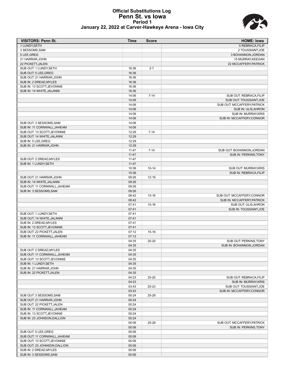# **Official Substitutions Log Penn St. vs Iowa Period 1 January 22, 2022 at Carver-Hawkeye Arena - Iowa City**

**VISITORS: Penn St. Time Score HOME: Iowa**



0 REBRACA,FILIP

| 3 SESSOMS, SAM               |       |           | 2 TOUSSAINT, JOE            |
|------------------------------|-------|-----------|-----------------------------|
| 5 LEE, GREG                  |       |           | 3 BOHANNON, JORDAN          |
| 21 HARRAR, JOHN              |       |           | 15 MURRAY, KEEGAN           |
| 22 PICKETT, JALEN            |       |           | 22 MCCAFFERY, PATRICK       |
| SUB OUT: 1 LUNDY, SETH       | 16:36 | $2 - 7$   |                             |
| SUB OUT: 5 LEE, GREG         | 16:36 |           |                             |
| SUB OUT: 21 HARRAR, JOHN     | 16:36 |           |                             |
| SUB IN: 2 DREAD, MYLES       | 16:36 |           |                             |
| SUB IN: 13 SCOTT, JEVONNIE   | 16:36 |           |                             |
| SUB IN: 14 WHITE, JALANNI    | 16:36 |           |                             |
|                              | 14:06 | $7 - 14$  | SUB OUT: REBRACA, FILIP     |
|                              | 14:06 |           | SUB OUT: TOUSSAINT, JOE     |
|                              | 14:06 |           | SUB OUT: MCCAFFERY, PATRICK |
|                              | 14:06 |           | SUB IN: ULIS, AHRON         |
|                              | 14:06 |           | SUB IN: MURRAY, KRIS        |
|                              | 14:06 |           | SUB IN: MCCAFFERY,CONNOR    |
|                              |       |           |                             |
| SUB OUT: 3 SESSOMS, SAM      | 14:06 |           |                             |
| SUB IN: 11 CORNWALL, JAHEAM  | 14:06 |           |                             |
| SUB OUT: 13 SCOTT, JEVONNIE  | 12:29 | $7 - 14$  |                             |
| SUB OUT: 14 WHITE, JALANNI   | 12:29 |           |                             |
| SUB IN: 5 LEE, GREG          | 12:29 |           |                             |
| SUB IN: 21 HARRAR, JOHN      | 12:29 |           |                             |
|                              | 11:47 | $7 - 14$  | SUB OUT: BOHANNON, JORDAN   |
|                              | 11:47 |           | SUB IN: PERKINS, TONY       |
| SUB OUT: 2 DREAD.MYLES       | 11:47 |           |                             |
| SUB IN: 1 LUNDY, SETH        | 11:47 |           |                             |
|                              | 10:36 | $10 - 14$ | SUB OUT: MURRAY, KRIS       |
|                              | 10:36 |           | SUB IN: REBRACA, FILIP      |
| SUB OUT: 21 HARRAR, JOHN     | 09:26 | $12 - 16$ |                             |
| SUB IN: 14 WHITE, JALANNI    | 09:26 |           |                             |
| SUB OUT: 11 CORNWALL, JAHEAM | 09:26 |           |                             |
| SUB IN: 3 SESSOMS, SAM       | 09:26 |           |                             |
|                              | 08:42 | 13-16     | SUB OUT: MCCAFFERY,CONNOR   |
|                              | 08:42 |           | SUB IN: MCCAFFERY, PATRICK  |
|                              | 07:41 | $15 - 16$ | SUB OUT: ULIS, AHRON        |
|                              | 07:41 |           | SUB IN: TOUSSAINT, JOE      |
| SUB OUT: 1 LUNDY, SETH       | 07:41 |           |                             |
| SUB OUT: 14 WHITE, JALANNI   | 07:41 |           |                             |
| SUB IN: 2 DREAD, MYLES       | 07:41 |           |                             |
| SUB IN: 13 SCOTT, JEVONNIE   | 07:41 |           |                             |
| SUB OUT: 22 PICKETT, JALEN   | 07:12 | $15-18$   |                             |
| SUB IN: 11 CORNWALL.JAHEAM   | 07:12 |           |                             |
|                              | 04:35 | 20-20     | SUB OUT: PERKINS, TONY      |
|                              | 04:35 |           | SUB IN: BOHANNON, JORDAN    |
| SUB OUT: 2 DREAD, MYLES      | 04:35 |           |                             |
| SUB OUT: 11 CORNWALL, JAHEAM | 04:35 |           |                             |
|                              |       |           |                             |
| SUB OUT: 13 SCOTT, JEVONNIE  | 04:35 |           |                             |
| SUB IN: 1 LUNDY, SETH        | 04:35 |           |                             |
| SUB IN: 21 HARRAR, JOHN      | 04:35 |           |                             |
| SUB IN: 22 PICKETT, JALEN    | 04:35 |           |                             |
|                              | 04:23 | 20-20     | SUB OUT: REBRACA, FILIP     |
|                              | 04:23 |           | <b>SUB IN: MURRAY, KRIS</b> |
|                              | 03:43 | 20-23     | SUB OUT: TOUSSAINT, JOE     |
|                              | 03:43 |           | SUB IN: MCCAFFERY, CONNOR   |
| SUB OUT: 3 SESSOMS, SAM      | 00:24 | 25-29     |                             |
| SUB OUT: 21 HARRAR, JOHN     | 00:24 |           |                             |
| SUB OUT: 22 PICKETT, JALEN   | 00:24 |           |                             |
| SUB IN: 11 CORNWALL, JAHEAM  | 00:24 |           |                             |
| SUB IN: 13 SCOTT, JEVONNIE   | 00:24 |           |                             |
| SUB IN: 23 JOHNSON, DALLION  | 00:24 |           |                             |
|                              | 00:06 | 25-29     | SUB OUT: MCCAFFERY, PATRICK |
|                              | 00:06 |           | SUB IN: PERKINS, TONY       |
| SUB OUT: 5 LEE, GREG         | 00:06 |           |                             |
| SUB OUT: 11 CORNWALL, JAHEAM | 00:06 |           |                             |
| SUB OUT: 13 SCOTT, JEVONNIE  | 00:06 |           |                             |
| SUB OUT: 23 JOHNSON, DALLION | 00:06 |           |                             |
| SUB IN: 2 DREAD, MYLES       | 00:06 |           |                             |
| SUB IN: 3 SESSOMS, SAM       | 00:06 |           |                             |
|                              |       |           |                             |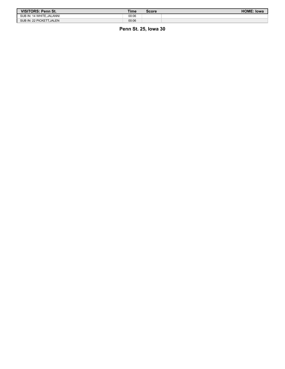| VISITORS: Penn St.        | Time  | <b>Score</b> | <b>HOME: Iowa</b> |
|---------------------------|-------|--------------|-------------------|
| SUB IN: 14 WHITE, JALANNI | 00:06 |              |                   |
| SUB IN: 22 PICKETT. JALEN | 00:06 |              |                   |

**Penn St. 25, Iowa 30**